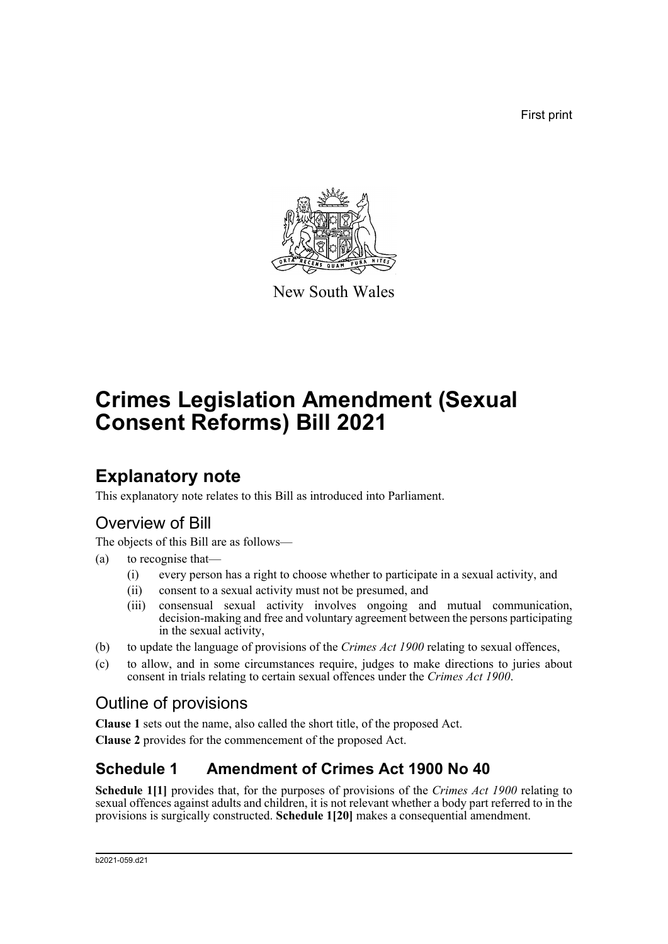First print



New South Wales

# **Crimes Legislation Amendment (Sexual Consent Reforms) Bill 2021**

## **Explanatory note**

This explanatory note relates to this Bill as introduced into Parliament.

### Overview of Bill

The objects of this Bill are as follows—

- (a) to recognise that—
	- (i) every person has a right to choose whether to participate in a sexual activity, and
	- (ii) consent to a sexual activity must not be presumed, and
	- (iii) consensual sexual activity involves ongoing and mutual communication, decision-making and free and voluntary agreement between the persons participating in the sexual activity,
- (b) to update the language of provisions of the *Crimes Act 1900* relating to sexual offences,
- (c) to allow, and in some circumstances require, judges to make directions to juries about consent in trials relating to certain sexual offences under the *Crimes Act 1900*.

### Outline of provisions

**Clause 1** sets out the name, also called the short title, of the proposed Act.

**Clause 2** provides for the commencement of the proposed Act.

### **Schedule 1 Amendment of Crimes Act 1900 No 40**

**Schedule 1[1]** provides that, for the purposes of provisions of the *Crimes Act 1900* relating to sexual offences against adults and children, it is not relevant whether a body part referred to in the provisions is surgically constructed. **Schedule 1[20]** makes a consequential amendment.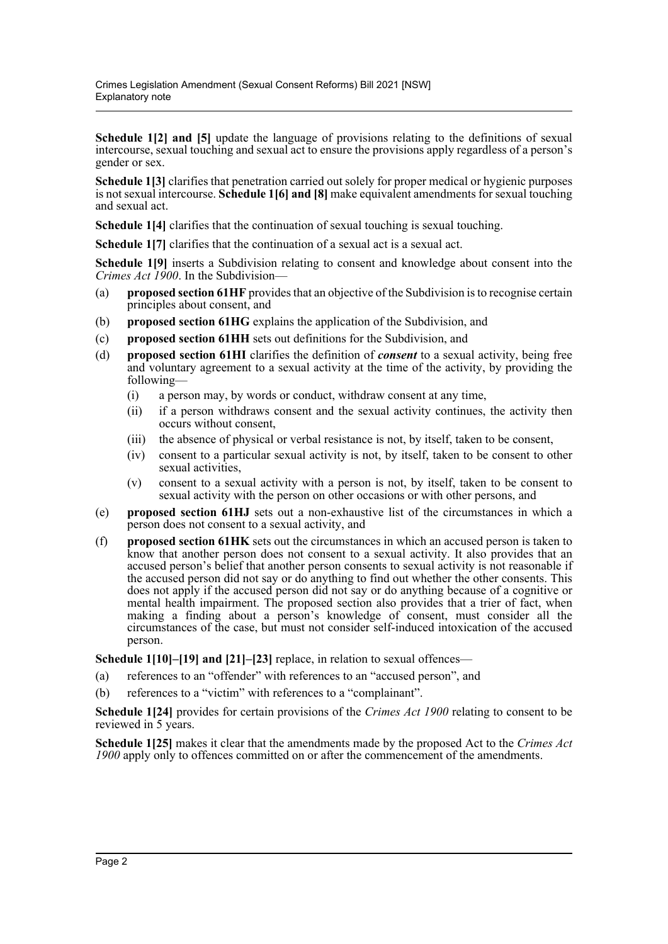**Schedule 1[2] and [5]** update the language of provisions relating to the definitions of sexual intercourse, sexual touching and sexual act to ensure the provisions apply regardless of a person's gender or sex.

**Schedule 1[3]** clarifies that penetration carried out solely for proper medical or hygienic purposes is not sexual intercourse. **Schedule 1[6] and [8]** make equivalent amendments for sexual touching and sexual act.

**Schedule 1[4]** clarifies that the continuation of sexual touching is sexual touching.

**Schedule 1[7]** clarifies that the continuation of a sexual act is a sexual act.

**Schedule 1[9]** inserts a Subdivision relating to consent and knowledge about consent into the *Crimes Act 1900*. In the Subdivision—

- (a) **proposed section 61HF** provides that an objective of the Subdivision is to recognise certain principles about consent, and
- (b) **proposed section 61HG** explains the application of the Subdivision, and
- (c) **proposed section 61HH** sets out definitions for the Subdivision, and
- (d) **proposed section 61HI** clarifies the definition of *consent* to a sexual activity, being free and voluntary agreement to a sexual activity at the time of the activity, by providing the following—
	- (i) a person may, by words or conduct, withdraw consent at any time,
	- (ii) if a person withdraws consent and the sexual activity continues, the activity then occurs without consent,
	- (iii) the absence of physical or verbal resistance is not, by itself, taken to be consent,
	- (iv) consent to a particular sexual activity is not, by itself, taken to be consent to other sexual activities,
	- (v) consent to a sexual activity with a person is not, by itself, taken to be consent to sexual activity with the person on other occasions or with other persons, and
- (e) **proposed section 61HJ** sets out a non-exhaustive list of the circumstances in which a person does not consent to a sexual activity, and
- (f) **proposed section 61HK** sets out the circumstances in which an accused person is taken to know that another person does not consent to a sexual activity. It also provides that an accused person's belief that another person consents to sexual activity is not reasonable if the accused person did not say or do anything to find out whether the other consents. This does not apply if the accused person did not say or do anything because of a cognitive or mental health impairment. The proposed section also provides that a trier of fact, when making a finding about a person's knowledge of consent, must consider all the circumstances of the case, but must not consider self-induced intoxication of the accused person.

**Schedule 1[10]–[19] and [21]–[23]** replace, in relation to sexual offences—

- (a) references to an "offender" with references to an "accused person", and
- (b) references to a "victim" with references to a "complainant".

**Schedule 1[24]** provides for certain provisions of the *Crimes Act 1900* relating to consent to be reviewed in 5 years.

**Schedule 1[25]** makes it clear that the amendments made by the proposed Act to the *Crimes Act 1900* apply only to offences committed on or after the commencement of the amendments.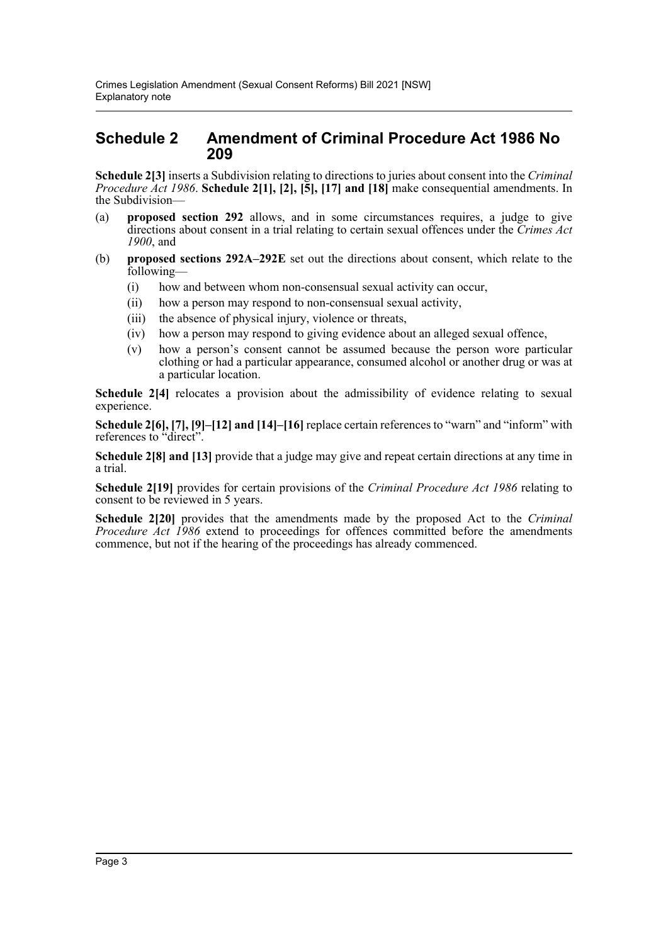#### **Schedule 2 Amendment of Criminal Procedure Act 1986 No 209**

**Schedule 2[3]** inserts a Subdivision relating to directions to juries about consent into the *Criminal Procedure Act 1986*. **Schedule 2[1], [2], [5], [17] and [18]** make consequential amendments. In the Subdivision—

- (a) **proposed section 292** allows, and in some circumstances requires, a judge to give directions about consent in a trial relating to certain sexual offences under the *Crimes Act 1900*, and
- (b) **proposed sections 292A–292E** set out the directions about consent, which relate to the following—
	- (i) how and between whom non-consensual sexual activity can occur,
	- (ii) how a person may respond to non-consensual sexual activity,
	- (iii) the absence of physical injury, violence or threats,
	- (iv) how a person may respond to giving evidence about an alleged sexual offence,
	- (v) how a person's consent cannot be assumed because the person wore particular clothing or had a particular appearance, consumed alcohol or another drug or was at a particular location.

Schedule 2<sup>[4]</sup> relocates a provision about the admissibility of evidence relating to sexual experience.

**Schedule 2[6], [7], [9]–[12] and [14]–[16]** replace certain references to "warn" and "inform" with references to "direct".

**Schedule 2[8] and [13]** provide that a judge may give and repeat certain directions at any time in a trial.

**Schedule 2[19]** provides for certain provisions of the *Criminal Procedure Act 1986* relating to consent to be reviewed in 5 years.

**Schedule 2[20]** provides that the amendments made by the proposed Act to the *Criminal Procedure Act 1986* extend to proceedings for offences committed before the amendments commence, but not if the hearing of the proceedings has already commenced.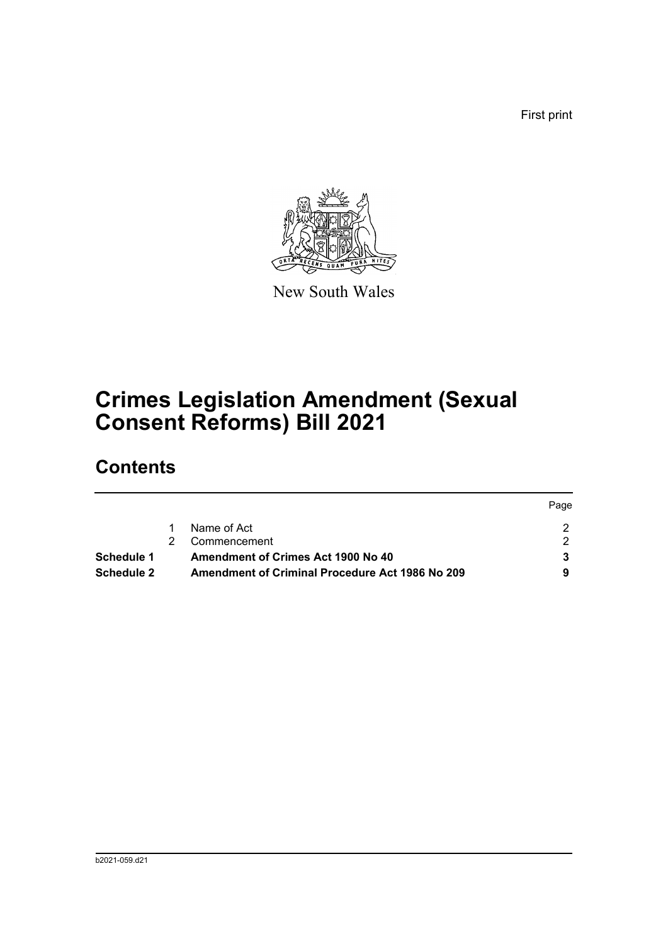First print



New South Wales

# **Crimes Legislation Amendment (Sexual Consent Reforms) Bill 2021**

## **Contents**

|                   |                                                 | Page |
|-------------------|-------------------------------------------------|------|
|                   | Name of Act                                     |      |
|                   | Commencement                                    |      |
| Schedule 1        | Amendment of Crimes Act 1900 No 40              |      |
| <b>Schedule 2</b> | Amendment of Criminal Procedure Act 1986 No 209 |      |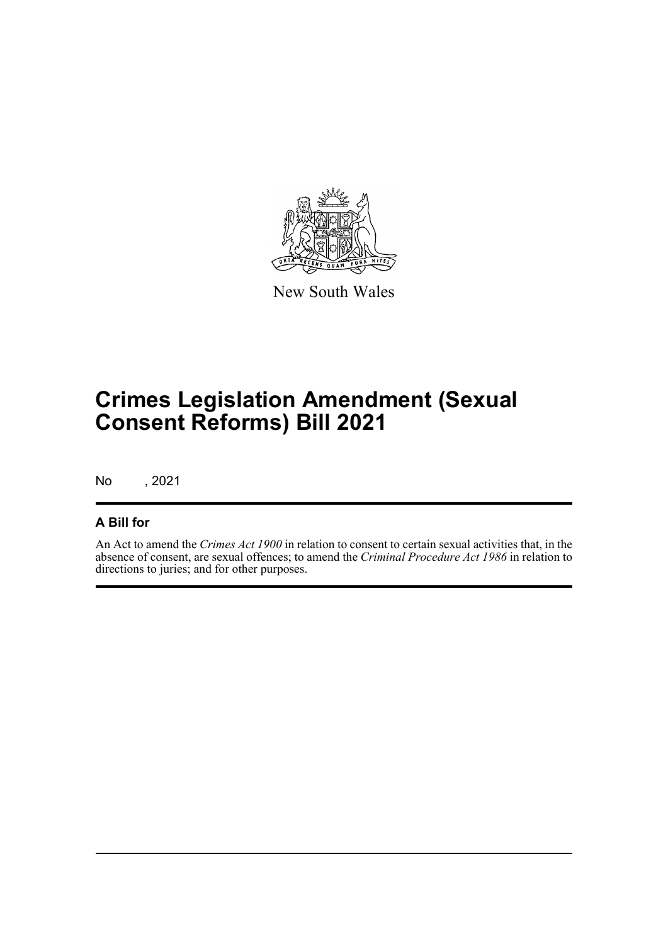

New South Wales

# **Crimes Legislation Amendment (Sexual Consent Reforms) Bill 2021**

No , 2021

#### **A Bill for**

An Act to amend the *Crimes Act 1900* in relation to consent to certain sexual activities that, in the absence of consent, are sexual offences; to amend the *Criminal Procedure Act 1986* in relation to directions to juries; and for other purposes.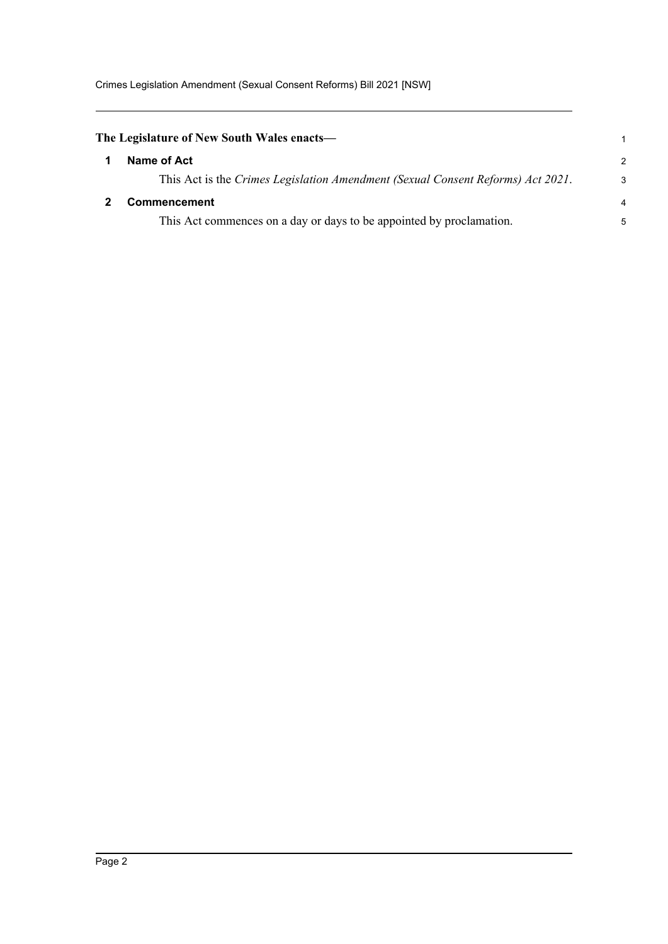<span id="page-5-1"></span><span id="page-5-0"></span>

| The Legislature of New South Wales enacts—                                      |                |  |  |
|---------------------------------------------------------------------------------|----------------|--|--|
| Name of Act                                                                     | $\mathcal{P}$  |  |  |
| This Act is the Crimes Legislation Amendment (Sexual Consent Reforms) Act 2021. | 3              |  |  |
| <b>Commencement</b>                                                             | $\overline{4}$ |  |  |
| This Act commences on a day or days to be appointed by proclamation.            | 5              |  |  |
|                                                                                 |                |  |  |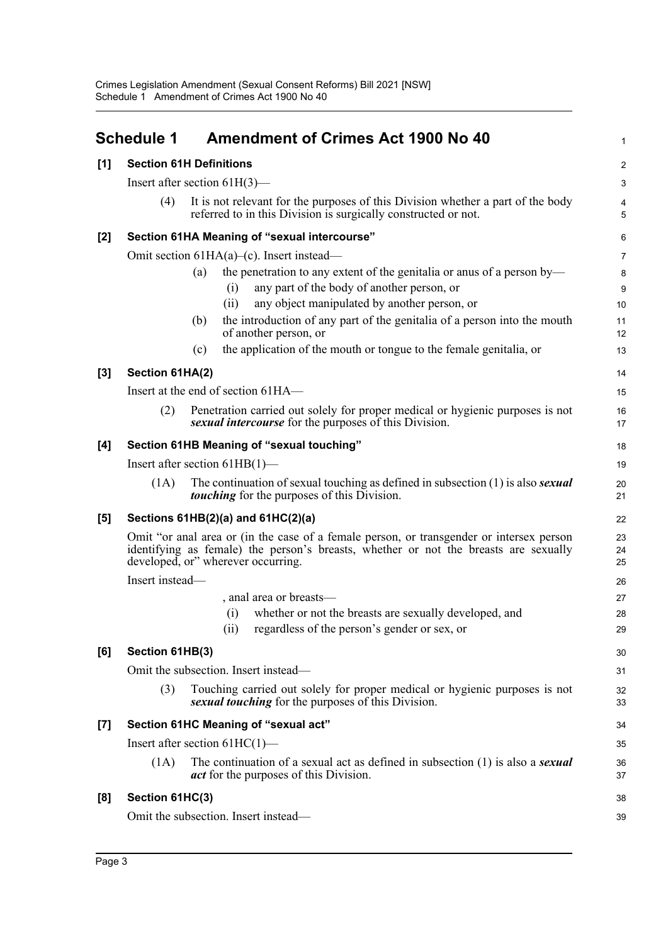<span id="page-6-0"></span>

|                    | <b>Schedule 1</b>                         | <b>Amendment of Crimes Act 1900 No 40</b>                                                                                                                                                                              | 1                  |  |  |  |
|--------------------|-------------------------------------------|------------------------------------------------------------------------------------------------------------------------------------------------------------------------------------------------------------------------|--------------------|--|--|--|
| [1]                |                                           | <b>Section 61H Definitions</b>                                                                                                                                                                                         | $\boldsymbol{2}$   |  |  |  |
|                    | Insert after section $61H(3)$ —           |                                                                                                                                                                                                                        |                    |  |  |  |
|                    | (4)                                       | It is not relevant for the purposes of this Division whether a part of the body<br>referred to in this Division is surgically constructed or not.                                                                      | 4<br>5             |  |  |  |
| [2]                |                                           | Section 61HA Meaning of "sexual intercourse"                                                                                                                                                                           | 6                  |  |  |  |
|                    |                                           | Omit section $61HA(a)$ –(c). Insert instead—                                                                                                                                                                           | $\overline{7}$     |  |  |  |
|                    |                                           | the penetration to any extent of the genitalia or anus of a person by—<br>(a)<br>any part of the body of another person, or<br>(i)<br>any object manipulated by another person, or<br>(i)                              | $\bf 8$<br>9<br>10 |  |  |  |
|                    |                                           | the introduction of any part of the genitalia of a person into the mouth<br>(b)<br>of another person, or                                                                                                               | 11<br>12           |  |  |  |
|                    |                                           | the application of the mouth or tongue to the female genitalia, or<br>(c)                                                                                                                                              | 13                 |  |  |  |
| $[3]$              | Section 61HA(2)                           |                                                                                                                                                                                                                        | 14                 |  |  |  |
|                    |                                           | Insert at the end of section 61HA—                                                                                                                                                                                     | 15                 |  |  |  |
|                    | (2)                                       | Penetration carried out solely for proper medical or hygienic purposes is not<br>sexual intercourse for the purposes of this Division.                                                                                 | 16<br>17           |  |  |  |
| [4]                | Section 61HB Meaning of "sexual touching" |                                                                                                                                                                                                                        |                    |  |  |  |
|                    |                                           | Insert after section $61HB(1)$ —                                                                                                                                                                                       | 19                 |  |  |  |
|                    | (1A)                                      | The continuation of sexual touching as defined in subsection $(1)$ is also <i>sexual</i><br><i>touching</i> for the purposes of this Division.                                                                         | 20<br>21           |  |  |  |
| [5]                |                                           | Sections $61HB(2)(a)$ and $61HC(2)(a)$                                                                                                                                                                                 | 22                 |  |  |  |
|                    |                                           | Omit "or anal area or (in the case of a female person, or transgender or intersex person<br>identifying as female) the person's breasts, whether or not the breasts are sexually<br>developed, or" wherever occurring. | 23<br>24<br>25     |  |  |  |
|                    | Insert instead-                           |                                                                                                                                                                                                                        | 26                 |  |  |  |
|                    |                                           | , anal area or breasts-                                                                                                                                                                                                | 27                 |  |  |  |
|                    |                                           | whether or not the breasts are sexually developed, and<br>(i)                                                                                                                                                          | 28                 |  |  |  |
|                    |                                           | (ii) regardless of the person's gender or sex, or                                                                                                                                                                      | 29                 |  |  |  |
| [6]                | Section 61HB(3)                           |                                                                                                                                                                                                                        | 30                 |  |  |  |
|                    |                                           | Omit the subsection. Insert instead—                                                                                                                                                                                   | 31                 |  |  |  |
|                    | (3)                                       | Touching carried out solely for proper medical or hygienic purposes is not<br>sexual touching for the purposes of this Division.                                                                                       | 32<br>33           |  |  |  |
| $\left[ 7 \right]$ |                                           | Section 61HC Meaning of "sexual act"                                                                                                                                                                                   | 34                 |  |  |  |
|                    |                                           | Insert after section $61HC(1)$ —                                                                                                                                                                                       | 35                 |  |  |  |
|                    | (1A)                                      | The continuation of a sexual act as defined in subsection $(1)$ is also a <b>sexual</b><br><i>act</i> for the purposes of this Division.                                                                               | 36<br>37           |  |  |  |
| [8]                | Section 61HC(3)                           |                                                                                                                                                                                                                        | 38                 |  |  |  |
|                    |                                           | Omit the subsection. Insert instead-                                                                                                                                                                                   | 39                 |  |  |  |
|                    |                                           |                                                                                                                                                                                                                        |                    |  |  |  |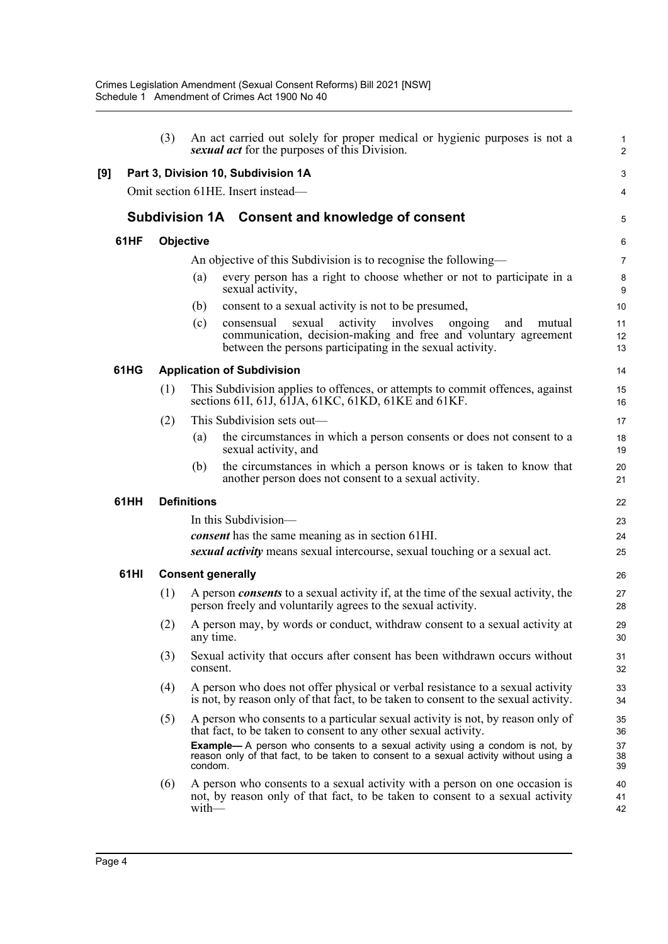|     |      | (3)       | An act carried out solely for proper medical or hygienic purposes is not a<br>sexual act for the purposes of this Division.                                                                                     | 1<br>$\overline{a}$ |
|-----|------|-----------|-----------------------------------------------------------------------------------------------------------------------------------------------------------------------------------------------------------------|---------------------|
| [9] |      |           | Part 3, Division 10, Subdivision 1A                                                                                                                                                                             | 3                   |
|     |      |           | Omit section 61HE. Insert instead-                                                                                                                                                                              | 4                   |
|     |      |           | Subdivision 1A Consent and knowledge of consent                                                                                                                                                                 | 5                   |
|     | 61HF | Objective |                                                                                                                                                                                                                 | 6                   |
|     |      |           | An objective of this Subdivision is to recognise the following—                                                                                                                                                 | 7                   |
|     |      |           | every person has a right to choose whether or not to participate in a<br>(a)<br>sexual activity,                                                                                                                | 8<br>9              |
|     |      |           | consent to a sexual activity is not to be presumed,<br>(b)                                                                                                                                                      | 10                  |
|     |      |           | sexual<br>activity<br>involves<br>(c)<br>consensual<br>ongoing<br>and<br>mutual<br>communication, decision-making and free and voluntary agreement<br>between the persons participating in the sexual activity. | 11<br>12<br>13      |
|     | 61HG |           | <b>Application of Subdivision</b>                                                                                                                                                                               | 14                  |
|     |      | (1)       | This Subdivision applies to offences, or attempts to commit offences, against<br>sections 61I, 61J, 61JA, 61KC, 61KD, 61KE and 61KF.                                                                            | 15<br>16            |
|     |      | (2)       | This Subdivision sets out—                                                                                                                                                                                      | 17                  |
|     |      |           | the circumstances in which a person consents or does not consent to a<br>(a)<br>sexual activity, and                                                                                                            | 18<br>19            |
|     |      |           | the circumstances in which a person knows or is taken to know that<br>(b)<br>another person does not consent to a sexual activity.                                                                              | 20<br>21            |
|     | 61HH |           | <b>Definitions</b>                                                                                                                                                                                              | 22                  |
|     |      |           | In this Subdivision-                                                                                                                                                                                            | 23                  |
|     |      |           | consent has the same meaning as in section 61HI.                                                                                                                                                                | 24                  |
|     |      |           | sexual activity means sexual intercourse, sexual touching or a sexual act.                                                                                                                                      | 25                  |
|     | 61HI |           | <b>Consent generally</b>                                                                                                                                                                                        | 26                  |
|     |      | (1)       | A person <i>consents</i> to a sexual activity if, at the time of the sexual activity, the<br>person freely and voluntarily agrees to the sexual activity.                                                       | 27<br>28            |
|     |      | (2)       | A person may, by words or conduct, withdraw consent to a sexual activity at<br>any time.                                                                                                                        | 29<br>30            |
|     |      | (3)       | Sexual activity that occurs after consent has been withdrawn occurs without<br>consent.                                                                                                                         | 31<br>32            |
|     |      | (4)       | A person who does not offer physical or verbal resistance to a sexual activity<br>is not, by reason only of that fact, to be taken to consent to the sexual activity.                                           | 33<br>34            |
|     |      | (5)       | A person who consents to a particular sexual activity is not, by reason only of<br>that fact, to be taken to consent to any other sexual activity.                                                              | 35<br>36            |
|     |      |           | <b>Example</b> — A person who consents to a sexual activity using a condom is not, by<br>reason only of that fact, to be taken to consent to a sexual activity without using a<br>condom.                       | 37<br>38<br>39      |
|     |      | (6)       | A person who consents to a sexual activity with a person on one occasion is<br>not, by reason only of that fact, to be taken to consent to a sexual activity<br>$with$ —                                        | 40<br>41<br>42      |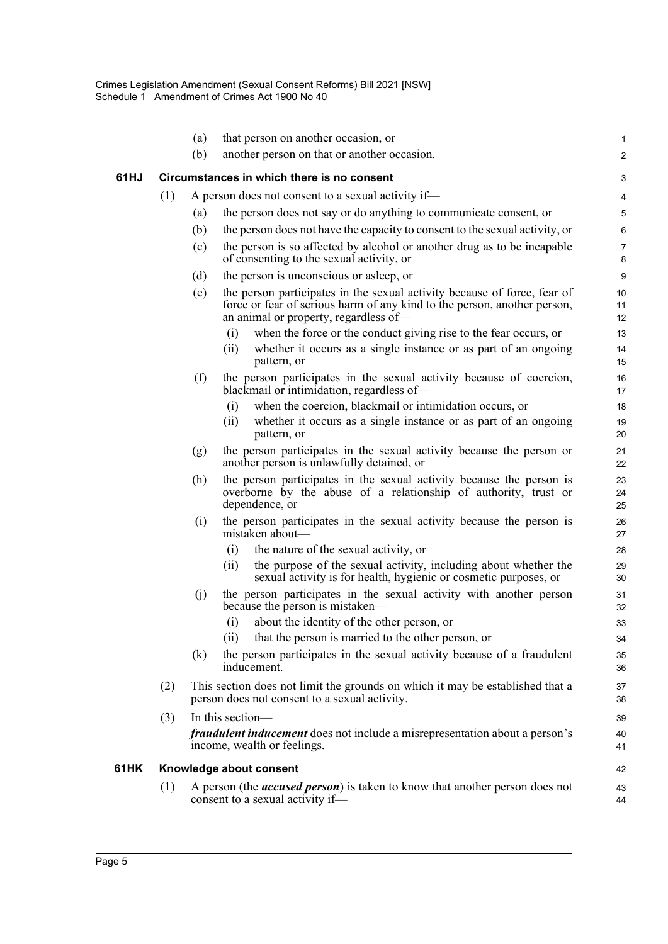|      |     | (a) | that person on another occasion, or                                                                                                                                                           | 1                   |
|------|-----|-----|-----------------------------------------------------------------------------------------------------------------------------------------------------------------------------------------------|---------------------|
|      |     | (b) | another person on that or another occasion.                                                                                                                                                   | $\overline{c}$      |
|      |     |     |                                                                                                                                                                                               |                     |
| 61HJ |     |     | Circumstances in which there is no consent                                                                                                                                                    | 3                   |
|      | (1) |     | A person does not consent to a sexual activity if—                                                                                                                                            | 4                   |
|      |     | (a) | the person does not say or do anything to communicate consent, or                                                                                                                             | 5                   |
|      |     | (b) | the person does not have the capacity to consent to the sexual activity, or                                                                                                                   | $6\phantom{1}6$     |
|      |     | (c) | the person is so affected by alcohol or another drug as to be incapable<br>of consenting to the sexual activity, or                                                                           | $\overline{7}$<br>8 |
|      |     | (d) | the person is unconscious or asleep, or                                                                                                                                                       | 9                   |
|      |     | (e) | the person participates in the sexual activity because of force, fear of<br>force or fear of serious harm of any kind to the person, another person,<br>an animal or property, regardless of- | 10<br>11<br>12      |
|      |     |     | (i)<br>when the force or the conduct giving rise to the fear occurs, or                                                                                                                       | 13                  |
|      |     |     | whether it occurs as a single instance or as part of an ongoing<br>(ii)<br>pattern, or                                                                                                        | 14<br>15            |
|      |     | (f) | the person participates in the sexual activity because of coercion,<br>blackmail or intimidation, regardless of-                                                                              | 16<br>17            |
|      |     |     | when the coercion, blackmail or intimidation occurs, or<br>(i)                                                                                                                                | 18                  |
|      |     |     | (ii)<br>whether it occurs as a single instance or as part of an ongoing<br>pattern, or                                                                                                        | 19<br>20            |
|      |     | (g) | the person participates in the sexual activity because the person or<br>another person is unlawfully detained, or                                                                             | 21<br>22            |
|      |     | (h) | the person participates in the sexual activity because the person is<br>overborne by the abuse of a relationship of authority, trust or<br>dependence, or                                     | 23<br>24<br>25      |
|      |     | (i) | the person participates in the sexual activity because the person is<br>mistaken about-                                                                                                       | 26<br>27            |
|      |     |     | the nature of the sexual activity, or<br>(i)                                                                                                                                                  | 28                  |
|      |     |     | the purpose of the sexual activity, including about whether the<br>(ii)<br>sexual activity is for health, hygienic or cosmetic purposes, or                                                   | 29<br>30            |
|      |     | (j) | the person participates in the sexual activity with another person<br>because the person is mistaken—                                                                                         | 31<br>32            |
|      |     |     | about the identity of the other person, or<br>(i)                                                                                                                                             | 33                  |
|      |     |     | that the person is married to the other person, or<br>(ii)                                                                                                                                    | 34                  |
|      |     | (k) | the person participates in the sexual activity because of a fraudulent<br>inducement.                                                                                                         | 35<br>36            |
|      | (2) |     | This section does not limit the grounds on which it may be established that a<br>person does not consent to a sexual activity.                                                                | 37<br>38            |
|      | (3) |     | In this section-                                                                                                                                                                              | 39                  |
|      |     |     | <i>fraudulent inducement</i> does not include a misrepresentation about a person's<br>income, wealth or feelings.                                                                             | 40<br>41            |
| 61HK |     |     | Knowledge about consent                                                                                                                                                                       | 42                  |
|      | (1) |     | A person (the <i>accused person</i> ) is taken to know that another person does not<br>consent to a sexual activity if—                                                                       | 43<br>44            |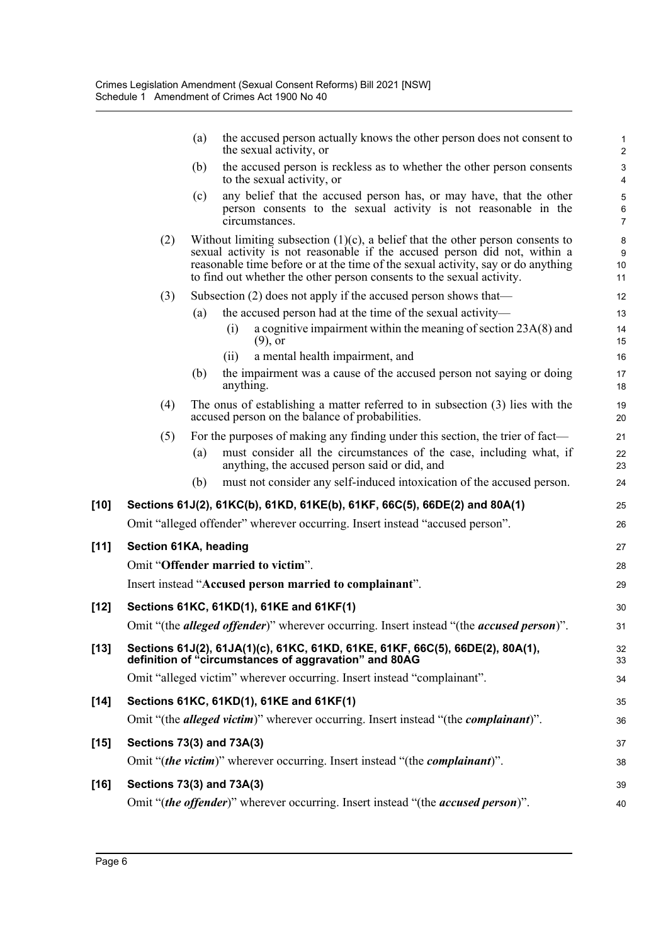|        |                           | (a) | the accused person actually knows the other person does not consent to<br>the sexual activity, or                                                                                                                                                                                                                           | $\mathbf{1}$<br>$\overline{2}$                |
|--------|---------------------------|-----|-----------------------------------------------------------------------------------------------------------------------------------------------------------------------------------------------------------------------------------------------------------------------------------------------------------------------------|-----------------------------------------------|
|        |                           | (b) | the accused person is reckless as to whether the other person consents                                                                                                                                                                                                                                                      | $\ensuremath{\mathsf{3}}$                     |
|        |                           | (c) | to the sexual activity, or<br>any belief that the accused person has, or may have, that the other<br>person consents to the sexual activity is not reasonable in the<br>circumstances.                                                                                                                                      | 4<br>$\mathbf 5$<br>$\,6\,$<br>$\overline{7}$ |
|        | (2)                       |     | Without limiting subsection $(1)(c)$ , a belief that the other person consents to<br>sexual activity is not reasonable if the accused person did not, within a<br>reasonable time before or at the time of the sexual activity, say or do anything<br>to find out whether the other person consents to the sexual activity. | $\bf 8$<br>9<br>$10$<br>11                    |
|        | (3)                       |     | Subsection (2) does not apply if the accused person shows that—                                                                                                                                                                                                                                                             | 12                                            |
|        |                           | (a) | the accused person had at the time of the sexual activity—                                                                                                                                                                                                                                                                  | 13                                            |
|        |                           |     | a cognitive impairment within the meaning of section 23A(8) and<br>(i)<br>$(9)$ , or                                                                                                                                                                                                                                        | 14<br>15                                      |
|        |                           |     | a mental health impairment, and<br>(ii)                                                                                                                                                                                                                                                                                     | 16                                            |
|        |                           | (b) | the impairment was a cause of the accused person not saying or doing<br>anything.                                                                                                                                                                                                                                           | 17<br>18                                      |
|        | (4)                       |     | The onus of establishing a matter referred to in subsection (3) lies with the<br>accused person on the balance of probabilities.                                                                                                                                                                                            | 19<br>20                                      |
|        | (5)                       |     | For the purposes of making any finding under this section, the trier of fact—                                                                                                                                                                                                                                               | 21                                            |
|        |                           | (a) | must consider all the circumstances of the case, including what, if<br>anything, the accused person said or did, and                                                                                                                                                                                                        | 22<br>23                                      |
|        |                           | (b) | must not consider any self-induced intoxication of the accused person.                                                                                                                                                                                                                                                      | 24                                            |
| [10]   |                           |     | Sections 61J(2), 61KC(b), 61KD, 61KE(b), 61KF, 66C(5), 66DE(2) and 80A(1)                                                                                                                                                                                                                                                   | 25                                            |
|        |                           |     | Omit "alleged offender" wherever occurring. Insert instead "accused person".                                                                                                                                                                                                                                                | 26                                            |
| $[11]$ | Section 61KA, heading     |     |                                                                                                                                                                                                                                                                                                                             | 27                                            |
|        |                           |     | Omit "Offender married to victim".                                                                                                                                                                                                                                                                                          | 28                                            |
|        |                           |     | Insert instead "Accused person married to complainant".                                                                                                                                                                                                                                                                     | 29                                            |
| [12]   |                           |     | Sections 61KC, 61KD(1), 61KE and 61KF(1)                                                                                                                                                                                                                                                                                    | 30                                            |
|        |                           |     | Omit "(the alleged offender)" wherever occurring. Insert instead "(the accused person)".                                                                                                                                                                                                                                    | 31                                            |
| $[13]$ |                           |     | Sections 61J(2), 61JA(1)(c), 61KC, 61KD, 61KE, 61KF, 66C(5), 66DE(2), 80A(1),<br>definition of "circumstances of aggravation" and 80AG                                                                                                                                                                                      | 32<br>33                                      |
|        |                           |     | Omit "alleged victim" wherever occurring. Insert instead "complainant".                                                                                                                                                                                                                                                     | 34                                            |
| [14]   |                           |     | Sections 61KC, 61KD(1), 61KE and 61KF(1)                                                                                                                                                                                                                                                                                    | 35                                            |
|        |                           |     | Omit "(the <i>alleged victim</i> )" wherever occurring. Insert instead "(the <i>complainant</i> )".                                                                                                                                                                                                                         | 36                                            |
| [15]   | Sections 73(3) and 73A(3) |     |                                                                                                                                                                                                                                                                                                                             | 37                                            |
|        |                           |     | Omit "(the victim)" wherever occurring. Insert instead "(the complainant)".                                                                                                                                                                                                                                                 | 38                                            |
| [16]   | Sections 73(3) and 73A(3) |     |                                                                                                                                                                                                                                                                                                                             | 39                                            |
|        |                           |     | Omit "(the offender)" wherever occurring. Insert instead "(the accused person)".                                                                                                                                                                                                                                            | 40                                            |
|        |                           |     |                                                                                                                                                                                                                                                                                                                             |                                               |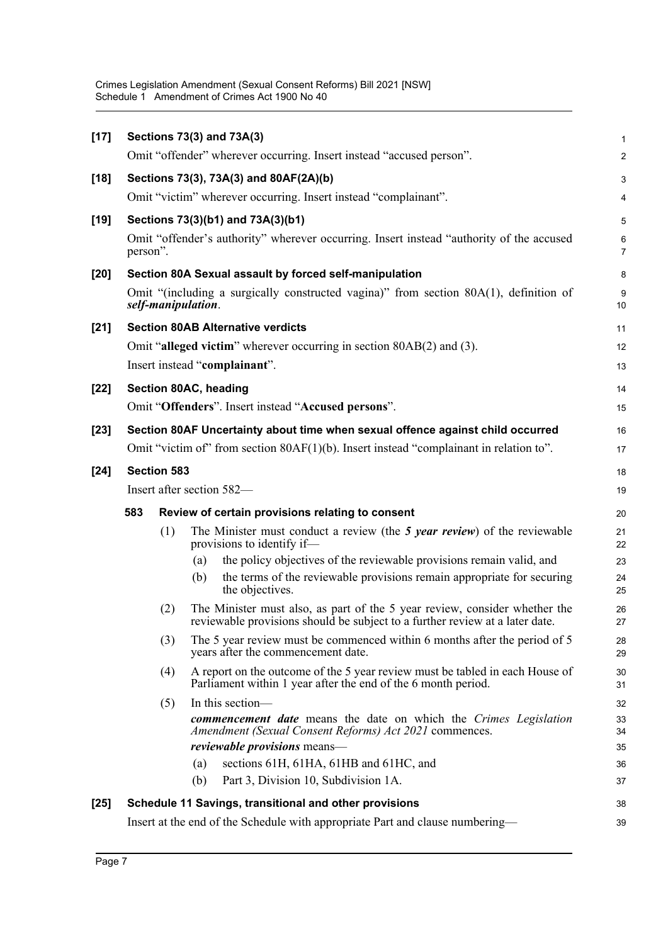Crimes Legislation Amendment (Sexual Consent Reforms) Bill 2021 [NSW] Schedule 1 Amendment of Crimes Act 1900 No 40

| $[17]$ |                                                                                        |     |                    | Sections 73(3) and 73A(3)                                                                                                                                  | 1                       |  |
|--------|----------------------------------------------------------------------------------------|-----|--------------------|------------------------------------------------------------------------------------------------------------------------------------------------------------|-------------------------|--|
|        |                                                                                        |     |                    | Omit "offender" wherever occurring. Insert instead "accused person".                                                                                       | $\overline{\mathbf{c}}$ |  |
| $[18]$ |                                                                                        |     |                    | Sections 73(3), 73A(3) and 80AF(2A)(b)                                                                                                                     | 3                       |  |
|        |                                                                                        |     |                    | Omit "victim" wherever occurring. Insert instead "complainant".                                                                                            | 4                       |  |
| [19]   |                                                                                        |     |                    | Sections 73(3)(b1) and 73A(3)(b1)                                                                                                                          | 5                       |  |
|        | person".                                                                               |     |                    | Omit "offender's authority" wherever occurring. Insert instead "authority of the accused                                                                   | 6<br>7                  |  |
| [20]   |                                                                                        |     |                    | Section 80A Sexual assault by forced self-manipulation                                                                                                     | 8                       |  |
|        |                                                                                        |     | self-manipulation. | Omit "(including a surgically constructed vagina)" from section $80A(1)$ , definition of                                                                   | 9<br>10                 |  |
| $[21]$ |                                                                                        |     |                    | <b>Section 80AB Alternative verdicts</b>                                                                                                                   | 11                      |  |
|        |                                                                                        |     |                    | Omit "alleged victim" wherever occurring in section 80AB(2) and (3).                                                                                       | 12                      |  |
|        |                                                                                        |     |                    | Insert instead "complainant".                                                                                                                              | 13                      |  |
| $[22]$ |                                                                                        |     |                    | Section 80AC, heading                                                                                                                                      | 14                      |  |
|        |                                                                                        |     |                    | Omit "Offenders". Insert instead "Accused persons".                                                                                                        | 15                      |  |
| $[23]$ |                                                                                        |     |                    | Section 80AF Uncertainty about time when sexual offence against child occurred                                                                             | 16                      |  |
|        | Omit "victim of" from section 80AF(1)(b). Insert instead "complainant in relation to". |     |                    |                                                                                                                                                            |                         |  |
| $[24]$ | <b>Section 583</b>                                                                     |     |                    |                                                                                                                                                            |                         |  |
|        | Insert after section 582-                                                              |     |                    |                                                                                                                                                            |                         |  |
|        | 583<br>Review of certain provisions relating to consent                                |     |                    |                                                                                                                                                            |                         |  |
|        |                                                                                        | (1) |                    | The Minister must conduct a review (the 5 year review) of the reviewable<br>provisions to identify if-                                                     | 21<br>22                |  |
|        |                                                                                        |     | (a)                | the policy objectives of the reviewable provisions remain valid, and                                                                                       | 23                      |  |
|        |                                                                                        |     | (b)                | the terms of the reviewable provisions remain appropriate for securing<br>the objectives.                                                                  | 24<br>25                |  |
|        |                                                                                        | (2) |                    | The Minister must also, as part of the 5 year review, consider whether the<br>reviewable provisions should be subject to a further review at a later date. | 26<br>27                |  |
|        |                                                                                        | (3) |                    | The 5 year review must be commenced within 6 months after the period of 5<br>years after the commencement date.                                            | 28<br>29                |  |
|        |                                                                                        | (4) |                    | A report on the outcome of the 5 year review must be tabled in each House of<br>Parliament within 1 year after the end of the 6 month period.              | 30<br>31                |  |
|        |                                                                                        | (5) |                    | In this section-                                                                                                                                           | 32                      |  |
|        |                                                                                        |     |                    | <b>commencement date</b> means the date on which the Crimes Legislation<br>Amendment (Sexual Consent Reforms) Act 2021 commences.                          | 33<br>34                |  |
|        |                                                                                        |     |                    | reviewable provisions means-                                                                                                                               | 35                      |  |
|        |                                                                                        |     | (a)                | sections 61H, 61HA, 61HB and 61HC, and                                                                                                                     | 36                      |  |
|        |                                                                                        |     | (b)                | Part 3, Division 10, Subdivision 1A.                                                                                                                       | 37                      |  |
| $[25]$ |                                                                                        |     |                    | Schedule 11 Savings, transitional and other provisions                                                                                                     | 38<br>39                |  |
|        | Insert at the end of the Schedule with appropriate Part and clause numbering—          |     |                    |                                                                                                                                                            |                         |  |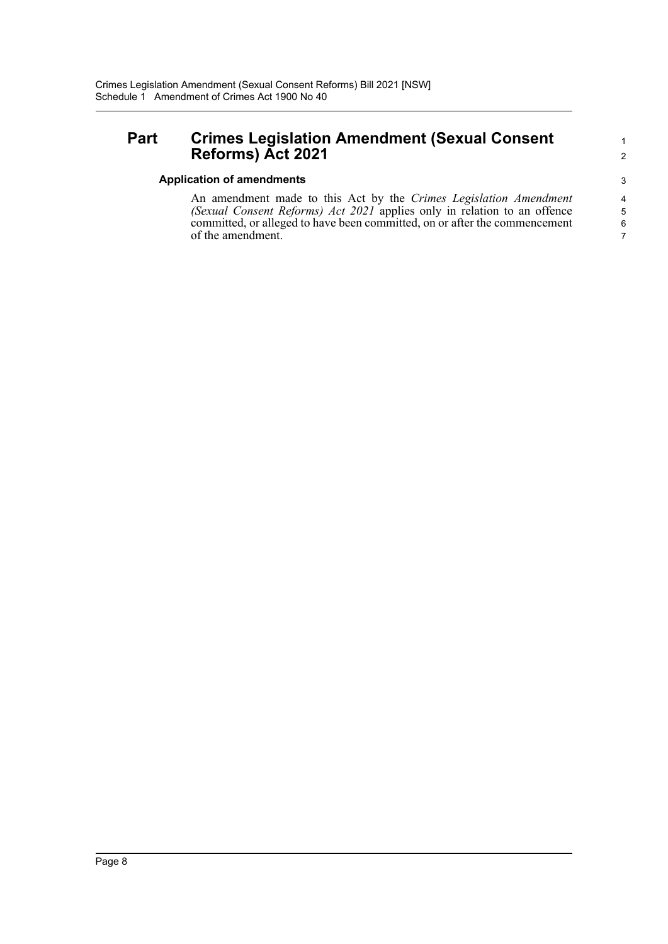### **Part Crimes Legislation Amendment (Sexual Consent Reforms) Act 2021**

#### **Application of amendments**

An amendment made to this Act by the *Crimes Legislation Amendment (Sexual Consent Reforms) Act 2021* applies only in relation to an offence committed, or alleged to have been committed, on or after the commencement of the amendment.

6 7

1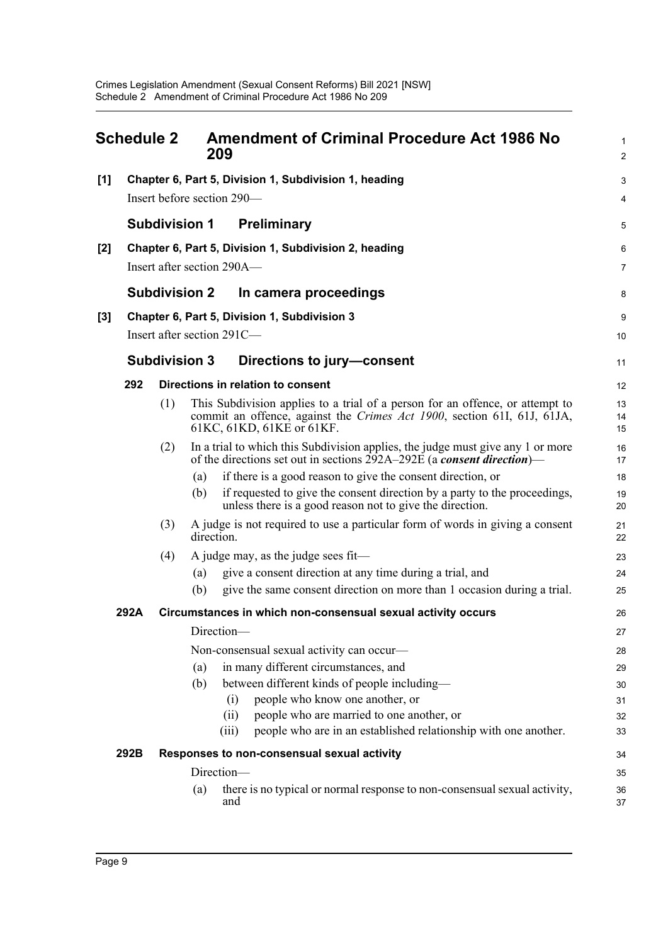<span id="page-12-0"></span>

| <b>Schedule 2</b> |      | 209                                                   | <b>Amendment of Criminal Procedure Act 1986 No</b> | $\mathbf{1}$<br>$\overline{c}$                                                                                                                              |                |  |  |
|-------------------|------|-------------------------------------------------------|----------------------------------------------------|-------------------------------------------------------------------------------------------------------------------------------------------------------------|----------------|--|--|
| $[1]$             |      | Chapter 6, Part 5, Division 1, Subdivision 1, heading |                                                    |                                                                                                                                                             |                |  |  |
|                   |      |                                                       |                                                    | Insert before section 290-                                                                                                                                  | 4              |  |  |
|                   |      | <b>Subdivision 1</b>                                  |                                                    | <b>Preliminary</b>                                                                                                                                          | 5              |  |  |
| [2]               |      |                                                       |                                                    | Chapter 6, Part 5, Division 1, Subdivision 2, heading                                                                                                       | 6              |  |  |
|                   |      |                                                       |                                                    | Insert after section 290A—                                                                                                                                  | $\overline{7}$ |  |  |
|                   |      | <b>Subdivision 2</b>                                  |                                                    | In camera proceedings                                                                                                                                       | 8              |  |  |
| $[3]$             |      |                                                       |                                                    | Chapter 6, Part 5, Division 1, Subdivision 3                                                                                                                | 9              |  |  |
|                   |      |                                                       |                                                    | Insert after section 291C-                                                                                                                                  | 10             |  |  |
|                   |      | <b>Subdivision 3</b>                                  |                                                    | Directions to jury-consent                                                                                                                                  | 11             |  |  |
|                   | 292  |                                                       |                                                    | Directions in relation to consent                                                                                                                           | 12             |  |  |
|                   |      | (1)                                                   |                                                    | This Subdivision applies to a trial of a person for an offence, or attempt to                                                                               | 13             |  |  |
|                   |      |                                                       |                                                    | commit an offence, against the Crimes Act 1900, section 61I, 61J, 61JA,<br>61KC, 61KD, 61KE or 61KF.                                                        | 14<br>15       |  |  |
|                   |      | (2)                                                   |                                                    | In a trial to which this Subdivision applies, the judge must give any 1 or more<br>of the directions set out in sections $292A-292E$ (a consent direction)— | 16<br>17       |  |  |
|                   |      |                                                       | (a)                                                | if there is a good reason to give the consent direction, or                                                                                                 | 18             |  |  |
|                   |      |                                                       | (b)                                                | if requested to give the consent direction by a party to the proceedings,<br>unless there is a good reason not to give the direction.                       | 19<br>20       |  |  |
|                   |      | (3)                                                   | direction.                                         | A judge is not required to use a particular form of words in giving a consent                                                                               | 21<br>22       |  |  |
|                   |      | (4)                                                   |                                                    | A judge may, as the judge sees fit-                                                                                                                         | 23             |  |  |
|                   |      |                                                       | (a)                                                | give a consent direction at any time during a trial, and                                                                                                    | 24             |  |  |
|                   |      |                                                       | (b)                                                | give the same consent direction on more than 1 occasion during a trial.                                                                                     | 25             |  |  |
|                   | 292A |                                                       |                                                    | Circumstances in which non-consensual sexual activity occurs                                                                                                | 26             |  |  |
|                   |      |                                                       | Direction-                                         |                                                                                                                                                             | 27             |  |  |
|                   |      |                                                       |                                                    | Non-consensual sexual activity can occur-                                                                                                                   | 28             |  |  |
|                   |      |                                                       | (a)                                                | in many different circumstances, and                                                                                                                        | 29             |  |  |
|                   |      |                                                       | (b)                                                | between different kinds of people including-                                                                                                                | 30             |  |  |
|                   |      |                                                       |                                                    | people who know one another, or<br>(i)                                                                                                                      | 31             |  |  |
|                   |      |                                                       |                                                    | people who are married to one another, or<br>(ii)                                                                                                           | 32             |  |  |
|                   |      |                                                       |                                                    | people who are in an established relationship with one another.<br>(iii)                                                                                    | 33             |  |  |
|                   | 292B |                                                       |                                                    | Responses to non-consensual sexual activity                                                                                                                 | 34             |  |  |
|                   |      |                                                       | Direction-                                         |                                                                                                                                                             | 35             |  |  |
|                   |      |                                                       | (a)                                                | there is no typical or normal response to non-consensual sexual activity,<br>and                                                                            | 36<br>37       |  |  |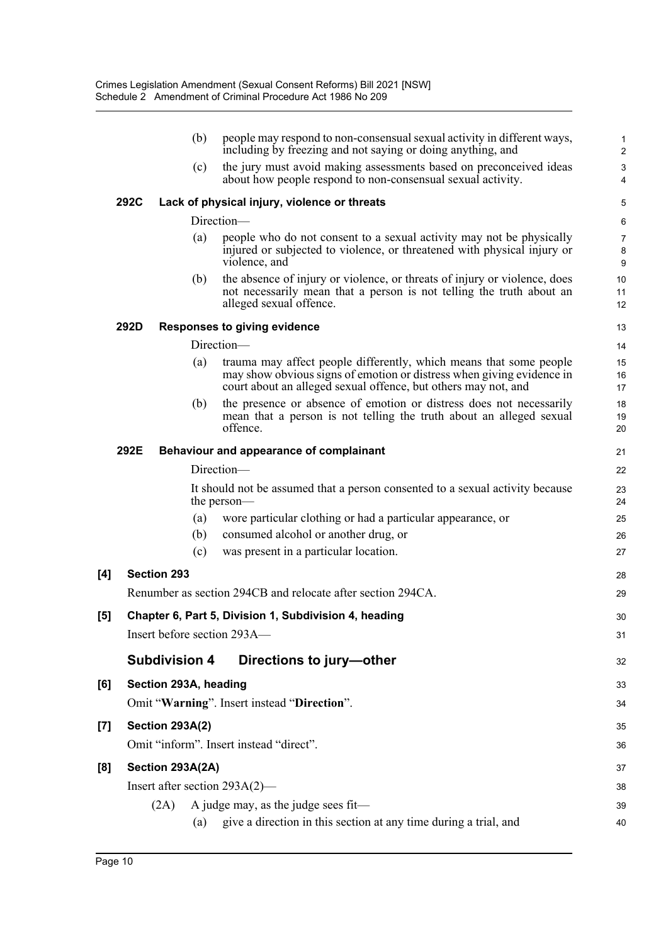|     |      | (b)                    | people may respond to non-consensual sexual activity in different ways,<br>including by freezing and not saying or doing anything, and                                                                        | 1<br>$\overline{\mathbf{c}}$ |
|-----|------|------------------------|---------------------------------------------------------------------------------------------------------------------------------------------------------------------------------------------------------------|------------------------------|
|     |      | (c)                    | the jury must avoid making assessments based on preconceived ideas<br>about how people respond to non-consensual sexual activity.                                                                             | 3<br>4                       |
|     | 292C |                        | Lack of physical injury, violence or threats                                                                                                                                                                  | 5                            |
|     |      |                        | Direction-                                                                                                                                                                                                    | 6                            |
|     |      | (a)                    | people who do not consent to a sexual activity may not be physically<br>injured or subjected to violence, or threatened with physical injury or<br>violence, and                                              | 7<br>8<br>9                  |
|     |      | (b)                    | the absence of injury or violence, or threats of injury or violence, does<br>not necessarily mean that a person is not telling the truth about an<br>alleged sexual offence.                                  | 10<br>11<br>12               |
|     | 292D |                        | <b>Responses to giving evidence</b>                                                                                                                                                                           | 13                           |
|     |      |                        | Direction-                                                                                                                                                                                                    | 14                           |
|     |      | (a)                    | trauma may affect people differently, which means that some people<br>may show obvious signs of emotion or distress when giving evidence in<br>court about an alleged sexual offence, but others may not, and | 15<br>16<br>17               |
|     |      | (b)                    | the presence or absence of emotion or distress does not necessarily<br>mean that a person is not telling the truth about an alleged sexual<br>offence.                                                        | 18<br>19<br>20               |
|     | 292E |                        | Behaviour and appearance of complainant                                                                                                                                                                       | 21                           |
|     |      |                        | Direction-                                                                                                                                                                                                    | 22                           |
|     |      |                        | It should not be assumed that a person consented to a sexual activity because<br>the person—                                                                                                                  | 23<br>24                     |
|     |      | (a)                    | wore particular clothing or had a particular appearance, or                                                                                                                                                   | 25                           |
|     |      | (b)                    | consumed alcohol or another drug, or                                                                                                                                                                          | 26                           |
|     |      | (c)                    | was present in a particular location.                                                                                                                                                                         | 27                           |
| [4] |      | <b>Section 293</b>     |                                                                                                                                                                                                               | 28                           |
|     |      |                        | Renumber as section 294CB and relocate after section 294CA.                                                                                                                                                   | 29                           |
| [5] |      |                        | Chapter 6, Part 5, Division 1, Subdivision 4, heading                                                                                                                                                         | 30                           |
|     |      |                        | Insert before section 293A-                                                                                                                                                                                   | 31                           |
|     |      | <b>Subdivision 4</b>   | Directions to jury-other                                                                                                                                                                                      | 32                           |
| [6] |      | Section 293A, heading  |                                                                                                                                                                                                               | 33                           |
|     |      |                        | Omit "Warning". Insert instead "Direction".                                                                                                                                                                   | 34                           |
| [7] |      | <b>Section 293A(2)</b> |                                                                                                                                                                                                               | 35                           |
|     |      |                        | Omit "inform". Insert instead "direct".                                                                                                                                                                       | 36                           |
| [8] |      | Section 293A(2A)       |                                                                                                                                                                                                               | 37                           |
|     |      |                        | Insert after section $293A(2)$ —                                                                                                                                                                              | 38                           |
|     |      | (2A)                   | A judge may, as the judge sees fit-                                                                                                                                                                           | 39                           |
|     |      | (a)                    | give a direction in this section at any time during a trial, and                                                                                                                                              | 40                           |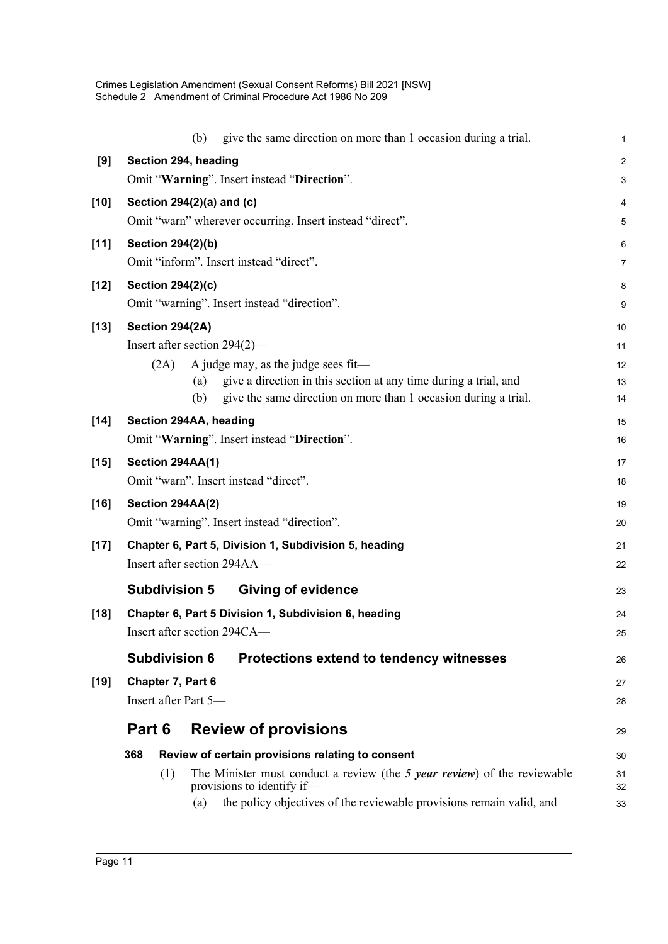|        |                          | give the same direction on more than 1 occasion during a trial.<br>(b)      | 1              |
|--------|--------------------------|-----------------------------------------------------------------------------|----------------|
| [9]    |                          | Section 294, heading                                                        | $\overline{c}$ |
|        |                          | Omit "Warning". Insert instead "Direction".                                 | 3              |
| $[10]$ |                          | Section 294(2)(a) and (c)                                                   | 4              |
|        |                          | Omit "warn" wherever occurring. Insert instead "direct".                    | 5              |
| $[11]$ | <b>Section 294(2)(b)</b> |                                                                             | 6              |
|        |                          | Omit "inform". Insert instead "direct".                                     | $\overline{7}$ |
| $[12]$ | <b>Section 294(2)(c)</b> |                                                                             | 8              |
|        |                          | Omit "warning". Insert instead "direction".                                 | 9              |
| $[13]$ | Section 294(2A)          |                                                                             | 10             |
|        |                          | Insert after section $294(2)$ —                                             | 11             |
|        | (2A)                     | A judge may, as the judge sees fit-                                         | 12             |
|        |                          | give a direction in this section at any time during a trial, and<br>(a)     | 13             |
|        |                          | (b)<br>give the same direction on more than 1 occasion during a trial.      | 14             |
| $[14]$ |                          | Section 294AA, heading                                                      | 15             |
|        |                          | Omit "Warning". Insert instead "Direction".                                 | 16             |
| $[15]$ | Section 294AA(1)         |                                                                             | 17             |
|        |                          | Omit "warn". Insert instead "direct".                                       | 18             |
| $[16]$ | Section 294AA(2)         |                                                                             | 19             |
|        |                          | Omit "warning". Insert instead "direction".                                 | 20             |
| $[17]$ |                          | Chapter 6, Part 5, Division 1, Subdivision 5, heading                       | 21             |
|        |                          | Insert after section 294AA-                                                 | 22             |
|        | <b>Subdivision 5</b>     | <b>Giving of evidence</b>                                                   | 23             |
| $[18]$ |                          | Chapter 6, Part 5 Division 1, Subdivision 6, heading                        | 24             |
|        |                          | Insert after section 294CA-                                                 | 25             |
|        | <b>Subdivision 6</b>     | Protections extend to tendency witnesses                                    | 26             |
| $[19]$ | Chapter 7, Part 6        |                                                                             | 27             |
|        |                          | Insert after Part 5-                                                        | 28             |
|        | Part 6                   | <b>Review of provisions</b>                                                 | 29             |
|        | 368                      | Review of certain provisions relating to consent                            | 30             |
|        | (1)                      | The Minister must conduct a review (the 5 year review) of the reviewable    | 31             |
|        |                          | provisions to identify if-                                                  | 32             |
|        |                          | the policy objectives of the reviewable provisions remain valid, and<br>(a) | 33             |